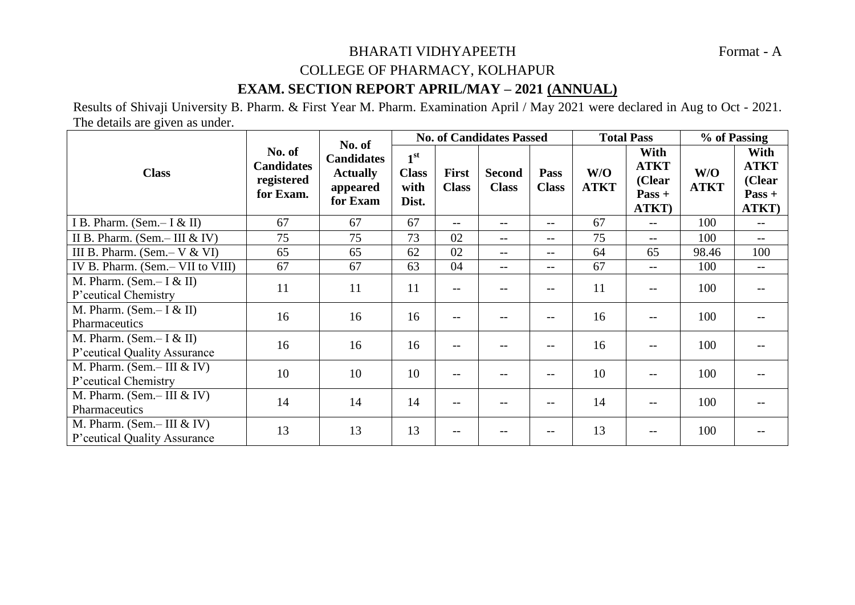## BHARATI VIDHYAPEETH Format - A COLLEGE OF PHARMACY, KOLHAPUR

## **EXAM. SECTION REPORT APRIL/MAY – 2021 (ANNUAL)**

Results of Shivaji University B. Pharm. & First Year M. Pharm. Examination April / May 2021 were declared in Aug to Oct - 2021. The details are given as under.

| <b>Class</b>                                                | No. of<br><b>Candidates</b><br>registered<br>for Exam. | No. of<br><b>Candidates</b><br><b>Actually</b><br>appeared<br>for Exam | <b>No. of Candidates Passed</b>                  |                              |                               |                      | <b>Total Pass</b>  |                                                    | % of Passing       |                                                    |
|-------------------------------------------------------------|--------------------------------------------------------|------------------------------------------------------------------------|--------------------------------------------------|------------------------------|-------------------------------|----------------------|--------------------|----------------------------------------------------|--------------------|----------------------------------------------------|
|                                                             |                                                        |                                                                        | 1 <sup>st</sup><br><b>Class</b><br>with<br>Dist. | <b>First</b><br><b>Class</b> | <b>Second</b><br><b>Class</b> | Pass<br><b>Class</b> | W/O<br><b>ATKT</b> | With<br><b>ATKT</b><br>(Clear<br>$Pass +$<br>ATKT) | W/O<br><b>ATKT</b> | With<br><b>ATKT</b><br>(Clear<br>$Pass +$<br>ATKT) |
| I B. Pharm. (Sem. – I & II)                                 | 67                                                     | 67                                                                     | 67                                               | $-$                          | $- -$                         | $- -$                | 67                 | $\overline{\phantom{a}}$                           | 100                | $- -$                                              |
| II B. Pharm. (Sem.-III $&$ IV)                              | 75                                                     | 75                                                                     | 73                                               | 02                           | $--$                          | $-$                  | 75                 | $\qquad \qquad -$                                  | 100                | $\qquad \qquad -$                                  |
| III B. Pharm. (Sem. – $V & V$                               | 65                                                     | 65                                                                     | 62                                               | 02                           | $--$                          | $\qquad \qquad -$    | 64                 | 65                                                 | 98.46              | 100                                                |
| IV B. Pharm. (Sem.- VII to VIII)                            | 67                                                     | 67                                                                     | 63                                               | 04                           | $--$                          | $\qquad \qquad -$    | 67                 | $\overline{\phantom{m}}$                           | 100                | $\overline{\phantom{m}}$                           |
| M. Pharm. (Sem.- $I & I$ )<br>P'ceutical Chemistry          | 11                                                     | 11                                                                     | 11                                               | $-$                          | $--$                          | $-$                  | 11                 | $-$                                                | 100                |                                                    |
| M. Pharm. (Sem.- $I & I$ )<br>Pharmaceutics                 | 16                                                     | 16                                                                     | 16                                               | $-$                          |                               | --                   | 16                 | $-1$                                               | 100                |                                                    |
| M. Pharm. (Sem.- $I & I$ )<br>P'ceutical Quality Assurance  | 16                                                     | 16                                                                     | 16                                               | --                           | --                            | --                   | 16                 | --                                                 | 100                |                                                    |
| M. Pharm. (Sem.-III $&$ IV)<br>P'ceutical Chemistry         | 10                                                     | 10                                                                     | 10                                               | $-$                          | $- -$                         | $- -$                | 10                 | $-1$                                               | 100                |                                                    |
| M. Pharm. (Sem.-III $&$ IV)<br>Pharmaceutics                | 14                                                     | 14                                                                     | 14                                               | $-$                          | $- -$                         | $-$                  | 14                 | $-$                                                | 100                |                                                    |
| M. Pharm. (Sem.-III $&$ IV)<br>P'ceutical Quality Assurance | 13                                                     | 13                                                                     | 13                                               | $-$                          |                               | --                   | 13                 |                                                    | 100                |                                                    |